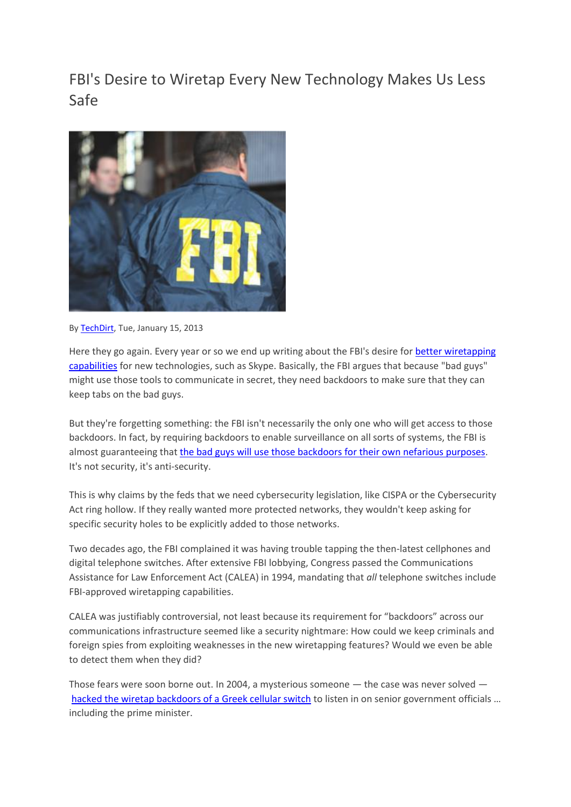## FBI's Desire to Wiretap Every New Technology Makes Us Less Safe



By [TechDirt,](http://www.opposingviews.com/users/techdirt) Tue, January 15, 2013

Here they go again. Every year or so we end up writing about the FBI's desire for [better wiretapping](http://www.techdirt.com/articles/20110216/23535513143/its-back-fbi-announcing-desire-to-wiretap-internet.shtml)  [capabilities](http://www.techdirt.com/articles/20110216/23535513143/its-back-fbi-announcing-desire-to-wiretap-internet.shtml) for new technologies, such as Skype. Basically, the FBI argues that because "bad guys" might use those tools to communicate in secret, they need backdoors to make sure that they can keep tabs on the bad guys.

But they're forgetting something: the FBI isn't necessarily the only one who will get access to those backdoors. In fact, by requiring backdoors to enable surveillance on all sorts of systems, the FBI is almost guaranteeing that [the bad guys will use those backdoors for their own nefarious purposes.](http://www.wired.com/opinion/2013/01/wiretap-backdoors/?utm_source=feedburner&utm_medium=feed&utm_campaign=Feed%3A+wired%2Findex+%28Wired%3A+Top+Stories%29) It's not security, it's anti-security.

This is why claims by the feds that we need cybersecurity legislation, like CISPA or the Cybersecurity Act ring hollow. If they really wanted more protected networks, they wouldn't keep asking for specific security holes to be explicitly added to those networks.

Two decades ago, the FBI complained it was having trouble tapping the then-latest cellphones and digital telephone switches. After extensive FBI lobbying, Congress passed the Communications Assistance for Law Enforcement Act (CALEA) in 1994, mandating that *all* telephone switches include FBI-approved wiretapping capabilities.

CALEA was justifiably controversial, not least because its requirement for "backdoors" across our communications infrastructure seemed like a security nightmare: How could we keep criminals and foreign spies from exploiting weaknesses in the new wiretapping features? Would we even be able to detect them when they did?

Those fears were soon borne out. In 2004, a mysterious someone — the case was never solved [hacked the wiretap backdoors of a Greek cellular switch](http://spectrum.ieee.org/telecom/security/the-athens-affair/0) to listen in on senior government officials … including the prime minister.